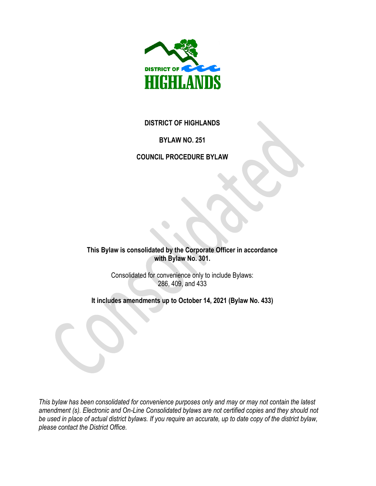

#### **DISTRICT OF HIGHLANDS**

### **BYLAW NO. 251**

### **COUNCIL PROCEDURE BYLAW**

**This Bylaw is consolidated by the Corporate Officer in accordance with Bylaw No. 301.** 

> Consolidated for convenience only to include Bylaws: 286, 409, and 433

**It includes amendments up to October 14, 2021 (Bylaw No. 433)**

*This bylaw has been consolidated for convenience purposes only and may or may not contain the latest amendment (s). Electronic and On-Line Consolidated bylaws are not certified copies and they should not be used in place of actual district bylaws. If you require an accurate, up to date copy of the district bylaw, please contact the District Office.*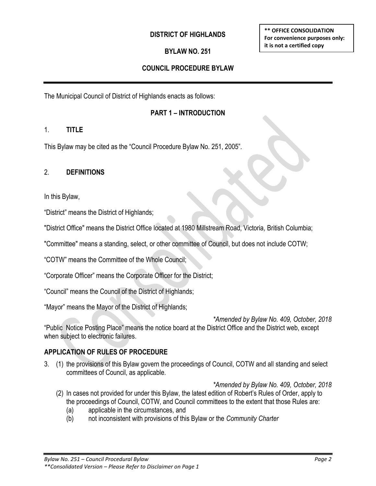#### **DISTRICT OF HIGHLANDS**

### **BYLAW NO. 251**

### **COUNCIL PROCEDURE BYLAW**

The Municipal Council of District of Highlands enacts as follows:

#### **PART 1 – INTRODUCTION**

#### 1. **TITLE**

This Bylaw may be cited as the "Council Procedure Bylaw No. 251, 2005".

#### 2. **DEFINITIONS**

In this Bylaw,

"District" means the District of Highlands;

"District Office" means the District Office located at 1980 Millstream Road, Victoria*,* British Columbia;

"Committee" means a standing, select, or other committee of Council, but does not include COTW;

"COTW" means the Committee of the Whole Council;

"Corporate Officer" means the Corporate Officer for the District;

"Council" means the Council of the District of Highlands;

"Mayor" means the Mayor of the District of Highlands;

*\*Amended by Bylaw No. 409, October, 2018* "Public Notice Posting Place" means the notice board at the District Office and the District web, except when subject to electronic failures.

#### **APPLICATION OF RULES OF PROCEDURE**

3. (1) the provisions of this Bylaw govern the proceedings of Council, COTW and all standing and select committees of Council, as applicable.

*\*Amended by Bylaw No. 409, October, 2018*

- (2) In cases not provided for under this Bylaw, the latest edition of Robert's Rules of Order, apply to the proceedings of Council, COTW, and Council committees to the extent that those Rules are:
	- (a) applicable in the circumstances, and
	- (b) not inconsistent with provisions of this Bylaw or the *Community Charter*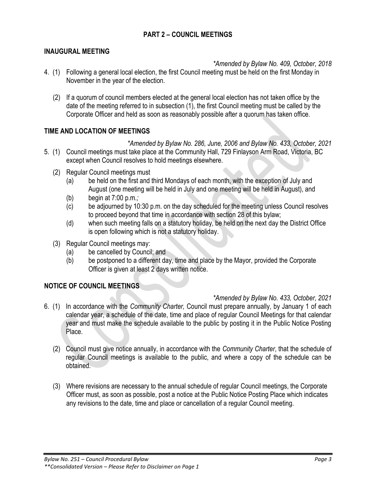### **PART 2 – COUNCIL MEETINGS**

#### **INAUGURAL MEETING**

*\*Amended by Bylaw No. 409, October, 2018*

- 4. (1) Following a general local election, the first Council meeting must be held on the first Monday in November in the year of the election.
	- (2) If a quorum of council members elected at the general local election has not taken office by the date of the meeting referred to in subsection (1), the first Council meeting must be called by the Corporate Officer and held as soon as reasonably possible after a quorum has taken office.

#### **TIME AND LOCATION OF MEETINGS**

*\*Amended by Bylaw No. 286, June, 2006 and Bylaw No. 433, October, 2021* 5. (1) Council meetings must take place at the Community Hall, 729 Finlayson Arm Road, Victoria, BC except when Council resolves to hold meetings elsewhere.

- (2) Regular Council meetings must
	- (a) be held on the first and third Mondays of each month, with the exception of July and August (one meeting will be held in July and one meeting will be held in August), and
	- (b) begin at 7:00 p.m.*;*
	- (c) be adjourned by 10:30 p.m. on the day scheduled for the meeting unless Council resolves to proceed beyond that time in accordance with section 28 of this bylaw;
	- (d) when such meeting falls on a statutory holiday, be held on the next day the District Office is open following which is not a statutory holiday.
- (3) Regular Council meetings may:
	- (a) be cancelled by Council; and
	- (b) be postponed to a different day, time and place by the Mayor, provided the Corporate Officer is given at least 2 days written notice.

#### **NOTICE OF COUNCIL MEETINGS**

*\*Amended by Bylaw No. 433, October, 2021*

- 6. (1) In accordance with the *Community Charter,* Council must prepare annually, by January 1 of each calendar year, a schedule of the date, time and place of regular Council Meetings for that calendar year and must make the schedule available to the public by posting it in the Public Notice Posting Place.
	- (2) Council must give notice annually, in accordance with the *Community Charter*, that the schedule of regular Council meetings is available to the public, and where a copy of the schedule can be obtained.
	- (3) Where revisions are necessary to the annual schedule of regular Council meetings, the Corporate Officer must, as soon as possible, post a notice at the Public Notice Posting Place which indicates any revisions to the date, time and place or cancellation of a regular Council meeting.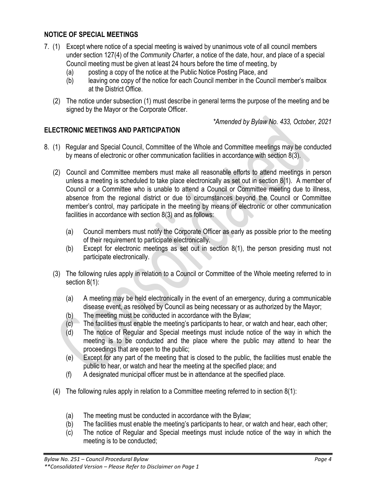### **NOTICE OF SPECIAL MEETINGS**

- 7. (1) Except where notice of a special meeting is waived by unanimous vote of all council members under section 127(4) of the *Community Charter*, a notice of the date, hour, and place of a special Council meeting must be given at least 24 hours before the time of meeting, by
	- (a) posting a copy of the notice at the Public Notice Posting Place, and
	- (b) leaving one copy of the notice for each Council member in the Council member's mailbox at the District Office.
	- (2) The notice under subsection (1) must describe in general terms the purpose of the meeting and be signed by the Mayor or the Corporate Officer.

*\*Amended by Bylaw No. 433, October, 2021*

### **ELECTRONIC MEETINGS AND PARTICIPATION**

- 8. (1) Regular and Special Council, Committee of the Whole and Committee meetings may be conducted by means of electronic or other communication facilities in accordance with section 8(3).
	- (2) Council and Committee members must make all reasonable efforts to attend meetings in person unless a meeting is scheduled to take place electronically as set out in section 8(1). A member of Council or a Committee who is unable to attend a Council or Committee meeting due to illness, absence from the regional district or due to circumstances beyond the Council or Committee member's control, may participate in the meeting by means of electronic or other communication facilities in accordance with section 8(3) and as follows:
		- (a) Council members must notify the Corporate Officer as early as possible prior to the meeting of their requirement to participate electronically.
		- (b) Except for electronic meetings as set out in section 8(1), the person presiding must not participate electronically.
	- (3) The following rules apply in relation to a Council or Committee of the Whole meeting referred to in section 8(1):
		- (a) A meeting may be held electronically in the event of an emergency, during a communicable disease event, as resolved by Council as being necessary or as authorized by the Mayor;
		- (b) The meeting must be conducted in accordance with the Bylaw;
		- $(c)$  The facilities must enable the meeting's participants to hear, or watch and hear, each other;
		- (d) The notice of Regular and Special meetings must include notice of the way in which the meeting is to be conducted and the place where the public may attend to hear the proceedings that are open to the public;
		- (e) Except for any part of the meeting that is closed to the public, the facilities must enable the public to hear, or watch and hear the meeting at the specified place; and
		- (f) A designated municipal officer must be in attendance at the specified place.
	- (4) The following rules apply in relation to a Committee meeting referred to in section 8(1):
		- (a) The meeting must be conducted in accordance with the Bylaw;
		- (b) The facilities must enable the meeting's participants to hear, or watch and hear, each other;
		- (c) The notice of Regular and Special meetings must include notice of the way in which the meeting is to be conducted;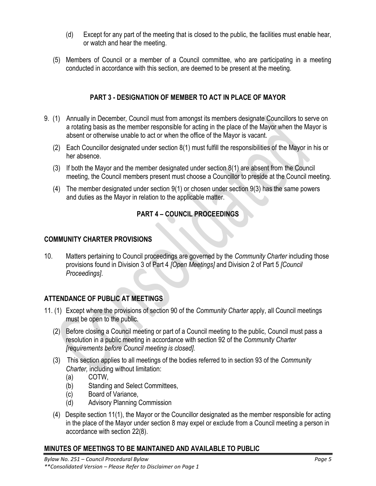- (d) Except for any part of the meeting that is closed to the public, the facilities must enable hear, or watch and hear the meeting.
- (5) Members of Council or a member of a Council committee, who are participating in a meeting conducted in accordance with this section, are deemed to be present at the meeting.

## **PART 3 - DESIGNATION OF MEMBER TO ACT IN PLACE OF MAYOR**

- 9. (1) Annually in December*,* Council must from amongst its members designate Councillors to serve on a rotating basis as the member responsible for acting in the place of the Mayor when the Mayor is absent or otherwise unable to act or when the office of the Mayor is vacant.
	- (2) Each Councillor designated under section 8(1) must fulfill the responsibilities of the Mayor in his or her absence.
	- (3) If both the Mayor and the member designated under section 8(1) are absent from the Council meeting, the Council members present must choose a Councillor to preside at the Council meeting.
	- (4) The member designated under section 9(1) or chosen under section 9(3) has the same powers and duties as the Mayor in relation to the applicable matter.

# **PART 4 – COUNCIL PROCEEDINGS**

#### **COMMUNITY CHARTER PROVISIONS**

10. Matters pertaining to Council proceedings are governed by the *Community Charter* including those provisions found in Division 3 of Part 4 *[Open Meetings]* and Division 2 of Part 5 *[Council Proceedings]*.

## **ATTENDANCE OF PUBLIC AT MEETINGS**

- 11. (1) Except where the provisions of section 90 of the *Community Charter* apply, all Council meetings must be open to the public.
	- (2) Before closing a Council meeting or part of a Council meeting to the public, Council must pass a resolution in a public meeting in accordance with section 92 of the *Community Charter [requirements before Council meeting is closed].*
	- (3) This section applies to all meetings of the bodies referred to in section 93 of the *Community Charter,* including without limitation:
		- (a) COTW,
		- (b) Standing and Select Committees,
		- (c) Board of Variance,
		- (d) Advisory Planning Commission
	- (4) Despite section 11(1), the Mayor or the Councillor designated as the member responsible for acting in the place of the Mayor under section 8 may expel or exclude from a Council meeting a person in accordance with section 22(8).

## **MINUTES OF MEETINGS TO BE MAINTAINED AND AVAILABLE TO PUBLIC**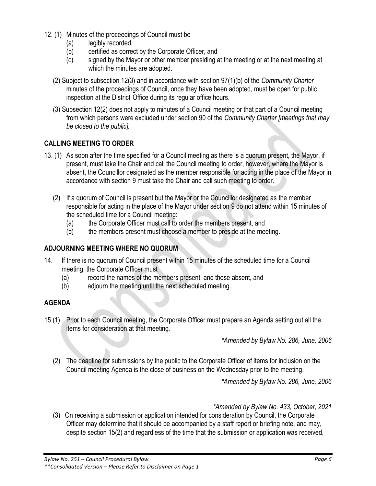- 12. (1) Minutes of the proceedings of Council must be
	- (a) legibly recorded,
	- (b) certified as correct by the Corporate Officer, and
	- (c) signed by the Mayor or other member presiding at the meeting or at the next meeting at which the minutes are adopted.
	- (2) Subject to subsection 12(3) and in accordance with section 97(1)(b) of the *Community Charter*  minutes of the proceedings of Council, once they have been adopted, must be open for public inspection at the District Office during its regular office hours.
	- (3) Subsection 12(2) does not apply to minutes of a Council meeting or that part of a Council meeting from which persons were excluded under section 90 of the *Community Charter [meetings that may be closed to the public].*

## **CALLING MEETING TO ORDER**

- 13. (1) As soon after the time specified for a Council meeting as there is a quorum present, the Mayor, if present, must take the Chair and call the Council meeting to order, however, where the Mayor is absent, the Councillor designated as the member responsible for acting in the place of the Mayor in accordance with section 9 must take the Chair and call such meeting to order.
	- (2) If a quorum of Council is present but the Mayor or the Councillor designated as the member responsible for acting in the place of the Mayor under section 9 do not attend within 15 minutes of the scheduled time for a Council meeting:
		- (a) the Corporate Officer must call to order the members present, and
		- (b) the members present must choose a member to preside at the meeting.

## **ADJOURNING MEETING WHERE NO QUORUM**

- 14. If there is no quorum of Council present within 15 minutes of the scheduled time for a Council meeting, the Corporate Officer must
	- (a) record the names of the members present, and those absent, and
	- (b) adjourn the meeting until the next scheduled meeting.

## **AGENDA**

15 (1) Prior to each Council meeting, the Corporate Officer must prepare an Agenda setting out all the items for consideration at that meeting.

*\*Amended by Bylaw No. 286, June, 2006*

(2) The deadline for submissions by the public to the Corporate Officer of items for inclusion on the Council meeting Agenda is the close of business on the Wednesday prior to the meeting.

*\*Amended by Bylaw No. 286, June, 2006* 

*\*Amended by Bylaw No. 433, October, 2021*

(3) On receiving a submission or application intended for consideration by Council, the Corporate Officer may determine that it should be accompanied by a staff report or briefing note, and may, despite section 15(2) and regardless of the time that the submission or application was received,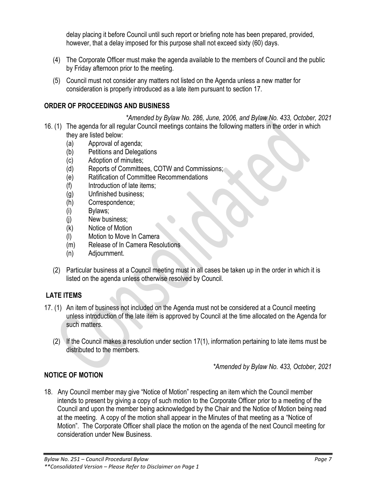delay placing it before Council until such report or briefing note has been prepared, provided, however, that a delay imposed for this purpose shall not exceed sixty (60) days.

- (4) The Corporate Officer must make the agenda available to the members of Council and the public by Friday afternoon prior to the meeting.
- (5) Council must not consider any matters not listed on the Agenda unless a new matter for consideration is properly introduced as a late item pursuant to section 17.

## **ORDER OF PROCEEDINGS AND BUSINESS**

*\*Amended by Bylaw No. 286, June, 2006, and Bylaw No. 433, October, 2021* 16. (1) The agenda for all regular Council meetings contains the following matters in the order in which they are listed below:

- (a) Approval of agenda;
- (b) Petitions and Delegations
- (c) Adoption of minutes;
- (d) Reports of Committees, COTW and Commissions;
- (e) Ratification of Committee Recommendations
- (f) Introduction of late items;
- (g) Unfinished business;
- (h) Correspondence;
- (i) Bylaws;
- (j) New business;
- (k) Notice of Motion
- (l) Motion to Move In Camera
- (m) Release of In Camera Resolutions
- (n) Adjournment.
- (2) Particular business at a Council meeting must in all cases be taken up in the order in which it is listed on the agenda unless otherwise resolved by Council.

# **LATE ITEMS**

- 17. (1) An item of business not included on the Agenda must not be considered at a Council meeting unless introduction of the late item is approved by Council at the time allocated on the Agenda for such matters.
	- (2) If the Council makes a resolution under section 17(1), information pertaining to late items must be distributed to the members.

*\*Amended by Bylaw No. 433, October, 2021*

# **NOTICE OF MOTION**

18. Any Council member may give "Notice of Motion" respecting an item which the Council member intends to present by giving a copy of such motion to the Corporate Officer prior to a meeting of the Council and upon the member being acknowledged by the Chair and the Notice of Motion being read at the meeting. A copy of the motion shall appear in the Minutes of that meeting as a "Notice of Motion". The Corporate Officer shall place the motion on the agenda of the next Council meeting for consideration under New Business.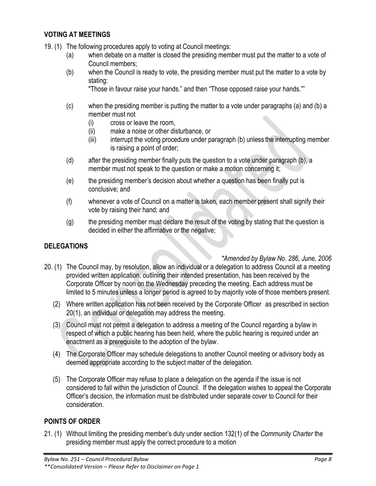#### **VOTING AT MEETINGS**

- 19. (1) The following procedures apply to voting at Council meetings:
	- (a) when debate on a matter is closed the presiding member must put the matter to a vote of Council members;
	- (b) when the Council is ready to vote, the presiding member must put the matter to a vote by stating:

"Those in favour raise your hands." and then "Those opposed raise your hands.""

- (c) when the presiding member is putting the matter to a vote under paragraphs (a) and (b) a member must not
	- (i) cross or leave the room,
	- (ii) make a noise or other disturbance, or
	- (iii) interrupt the voting procedure under paragraph (b) unless the interrupting member is raising a point of order;
- (d) after the presiding member finally puts the question to a vote under paragraph (b), a member must not speak to the question or make a motion concerning it;
- (e) the presiding member's decision about whether a question has been finally put is conclusive; and
- (f) whenever a vote of Council on a matter is taken, each member present shall signify their vote by raising their hand; and
- (g) the presiding member must declare the result of the voting by stating that the question is decided in either the affirmative or the negative;

## **DELEGATIONS**

#### *\*Amended by Bylaw No. 286, June, 2006*

- 20. (1) The Council may, by resolution, allow an individual or a delegation to address Council at a meeting provided written application, outlining their intended presentation, has been received by the Corporate Officer by noon on the Wednesday preceding the meeting. Each address must be limited to 5 minutes unless a longer period is agreed to by majority vote of those members present.
	- (2) Where written application has not been received by the Corporate Officer as prescribed in section 20(1), an individual or delegation may address the meeting.
	- (3) Council must not permit a delegation to address a meeting of the Council regarding a bylaw in respect of which a public hearing has been held, where the public hearing is required under an enactment as a prerequisite to the adoption of the bylaw.
	- (4) The Corporate Officer may schedule delegations to another Council meeting or advisory body as deemed appropriate according to the subject matter of the delegation.
	- (5) The Corporate Officer may refuse to place a delegation on the agenda if the issue is not considered to fall within the jurisdiction of Council. If the delegation wishes to appeal the Corporate Officer's decision, the information must be distributed under separate cover to Council for their consideration.

## **POINTS OF ORDER**

21. (1) Without limiting the presiding member's duty under section 132(1) of the *Community Charter* the presiding member must apply the correct procedure to a motion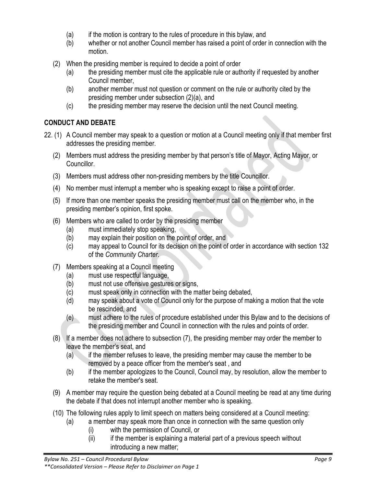- (a) if the motion is contrary to the rules of procedure in this bylaw, and
- (b) whether or not another Council member has raised a point of order in connection with the motion.
- (2) When the presiding member is required to decide a point of order
	- (a) the presiding member must cite the applicable rule or authority if requested by another Council member,
	- (b) another member must not question or comment on the rule or authority cited by the presiding member under subsection (2)(a), and
	- (c) the presiding member may reserve the decision until the next Council meeting.

# **CONDUCT AND DEBATE**

- 22. (1) A Council member may speak to a question or motion at a Council meeting only if that member first addresses the presiding member.
	- (2) Members must address the presiding member by that person's title of Mayor, Acting Mayor, or Councillor.
	- (3) Members must address other non-presiding members by the title Councillor.
	- (4) No member must interrupt a member who is speaking except to raise a point of order.
	- (5) If more than one member speaks the presiding member must call on the member who, in the presiding member's opinion, first spoke.
	- (6) Members who are called to order by the presiding member
		- (a) must immediately stop speaking,
		- (b) may explain their position on the point of order, and
		- (c) may appeal to Council for its decision on the point of order in accordance with section 132 of the *Community Charter*.
	- (7) Members speaking at a Council meeting
		- (a) must use respectful language,
		- (b) must not use offensive gestures or signs,
		- (c) must speak only in connection with the matter being debated,
		- (d) may speak about a vote of Council only for the purpose of making a motion that the vote be rescinded, and
		- (e) must adhere to the rules of procedure established under this Bylaw and to the decisions of the presiding member and Council in connection with the rules and points of order.
	- (8) If a member does not adhere to subsection (7), the presiding member may order the member to leave the member's seat, and
		- (a) if the member refuses to leave, the presiding member may cause the member to be removed by a peace officer from the member's seat , and
		- (b) if the member apologizes to the Council, Council may, by resolution, allow the member to retake the member's seat.
	- (9) A member may require the question being debated at a Council meeting be read at any time during the debate if that does not interrupt another member who is speaking.
	- (10) The following rules apply to limit speech on matters being considered at a Council meeting:
		- (a) a member may speak more than once in connection with the same question only
			- (i) with the permission of Council, or
			- (ii) if the member is explaining a material part of a previous speech without introducing a new matter;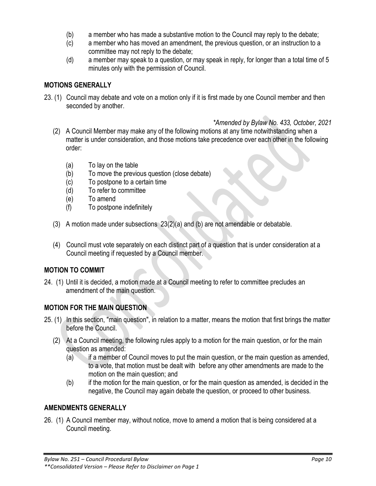- (b) a member who has made a substantive motion to the Council may reply to the debate;
- (c) a member who has moved an amendment, the previous question, or an instruction to a committee may not reply to the debate;
- (d) a member may speak to a question, or may speak in reply, for longer than a total time of 5 minutes only with the permission of Council.

#### **MOTIONS GENERALLY**

23. (1) Council may debate and vote on a motion only if it is first made by one Council member and then seconded by another.

#### *\*Amended by Bylaw No. 433, October, 2021*

- (2) A Council Member may make any of the following motions at any time notwithstanding when a matter is under consideration, and those motions take precedence over each other in the following order:
	- (a) To lay on the table
	- (b) To move the previous question (close debate)
	- (c) To postpone to a certain time
	- (d) To refer to committee
	- (e) To amend
	- (f) To postpone indefinitely
- (3) A motion made under subsections 23(2)(a) and (b) are not amendable or debatable.
- (4) Council must vote separately on each distinct part of a question that is under consideration at a Council meeting if requested by a Council member.

## **MOTION TO COMMIT**

24. (1) Until it is decided, a motion made at a Council meeting to refer to committee precludes an amendment of the main question.

## **MOTION FOR THE MAIN QUESTION**

- 25. (1) In this section, "main question", in relation to a matter, means the motion that first brings the matter before the Council.
	- (2) At a Council meeting, the following rules apply to a motion for the main question, or for the main question as amended:
		- (a) if a member of Council moves to put the main question, or the main question as amended, to a vote, that motion must be dealt with before any other amendments are made to the motion on the main question; and
		- (b) if the motion for the main question, or for the main question as amended, is decided in the negative, the Council may again debate the question, or proceed to other business.

## **AMENDMENTS GENERALLY**

26. (1) A Council member may, without notice, move to amend a motion that is being considered at a Council meeting.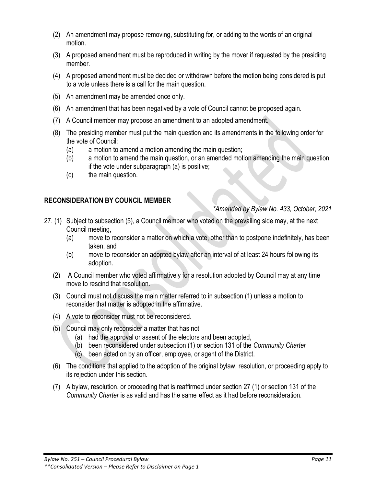- (2) An amendment may propose removing, substituting for, or adding to the words of an original motion.
- (3) A proposed amendment must be reproduced in writing by the mover if requested by the presiding member.
- (4) A proposed amendment must be decided or withdrawn before the motion being considered is put to a vote unless there is a call for the main question.
- (5) An amendment may be amended once only.
- (6) An amendment that has been negatived by a vote of Council cannot be proposed again.
- (7) A Council member may propose an amendment to an adopted amendment.
- (8) The presiding member must put the main question and its amendments in the following order for the vote of Council:
	- (a) a motion to amend a motion amending the main question;
	- (b) a motion to amend the main question, or an amended motion amending the main question if the vote under subparagraph (a) is positive;
	- (c) the main question.

## **RECONSIDERATION BY COUNCIL MEMBER**

### *\*Amended by Bylaw No. 433, October, 2021*

- 27. (1) Subject to subsection (5), a Council member who voted on the prevailing side may, at the next Council meeting,
	- (a) move to reconsider a matter on which a vote, other than to postpone indefinitely, has been taken, and
	- (b) move to reconsider an adopted bylaw after an interval of at least 24 hours following its adoption.
	- (2) A Council member who voted affirmatively for a resolution adopted by Council may at any time move to rescind that resolution.
	- (3) Council must not discuss the main matter referred to in subsection (1) unless a motion to reconsider that matter is adopted in the affirmative.
	- (4) A vote to reconsider must not be reconsidered.
	- (5) Council may only reconsider a matter that has not
		- (a) had the approval or assent of the electors and been adopted,
		- (b) been reconsidered under subsection (1) or section 131 of the *Community Charter*
		- (c) been acted on by an officer, employee, or agent of the District.
	- (6) The conditions that applied to the adoption of the original bylaw, resolution, or proceeding apply to its rejection under this section.
	- (7) A bylaw, resolution, or proceeding that is reaffirmed under section 27 (1) or section 131 of the *Community Charter* is as valid and has the same effect as it had before reconsideration.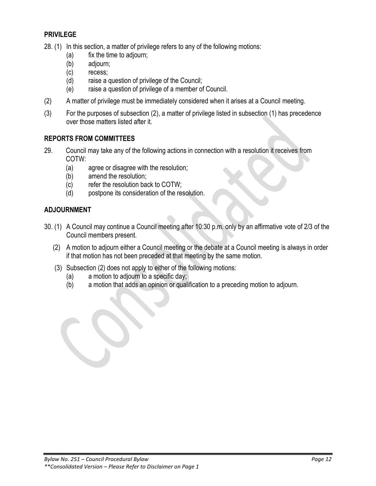### **PRIVILEGE**

28. (1) In this section, a matter of privilege refers to any of the following motions:

- (a) fix the time to adjourn;
- (b) adjourn;
- (c) recess;
- (d) raise a question of privilege of the Council;
- (e) raise a question of privilege of a member of Council.
- (2) A matter of privilege must be immediately considered when it arises at a Council meeting.
- (3) For the purposes of subsection (2), a matter of privilege listed in subsection (1) has precedence over those matters listed after it.

### **REPORTS FROM COMMITTEES**

- 29. Council may take any of the following actions in connection with a resolution it receives from COTW:
	- (a) agree or disagree with the resolution;
	- (b) amend the resolution;
	- (c) refer the resolution back to COTW;
	- (d) postpone its consideration of the resolution.

### **ADJOURNMENT**

- 30. (1) A Council may continue a Council meeting after 10:30 p.m. only by an affirmative vote of 2/3 of the Council members present.
	- (2) A motion to adjourn either a Council meeting or the debate at a Council meeting is always in order if that motion has not been preceded at that meeting by the same motion.
	- (3) Subsection (2) does not apply to either of the following motions:
		- (a) a motion to adjourn to a specific day;
		- (b) a motion that adds an opinion or qualification to a preceding motion to adjourn.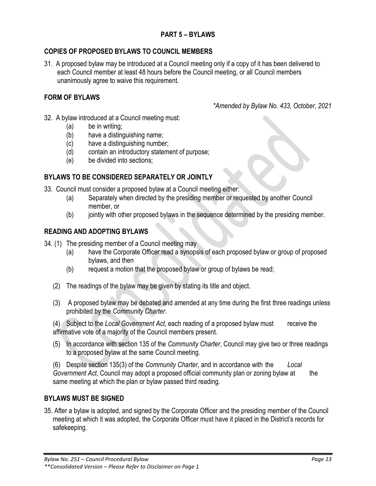## **COPIES OF PROPOSED BYLAWS TO COUNCIL MEMBERS**

31. A proposed bylaw may be introduced at a Council meeting only if a copy of it has been delivered to each Council member at least 48 hours before the Council meeting, or all Council members unanimously agree to waive this requirement.

## **FORM OF BYLAWS**

*\*Amended by Bylaw No. 433, October, 2021*

- 32. A bylaw introduced at a Council meeting must:
	- (a) be in writing;
	- (b) have a distinguishing name;
	- (c) have a distinguishing number;
	- (d) contain an introductory statement of purpose;
	- (e) be divided into sections;

#### **BYLAWS TO BE CONSIDERED SEPARATELY OR JOINTLY**

- 33. Council must consider a proposed bylaw at a Council meeting either:
	- (a) Separately when directed by the presiding member or requested by another Council member, or
	- (b) jointly with other proposed bylaws in the sequence determined by the presiding member.

#### **READING AND ADOPTING BYLAWS**

- 34. (1) The presiding member of a Council meeting may
	- (a) have the Corporate Officer read a synopsis of each proposed bylaw or group of proposed bylaws, and then
	- (b) request a motion that the proposed bylaw or group of bylaws be read;
	- (2) The readings of the bylaw may be given by stating its title and object.
	- (3) A proposed bylaw may be debated and amended at any time during the first three readings unless prohibited by the *Community Charter*.

(4) Subject to the *Local Government Act*, each reading of a proposed bylaw must receive the affirmative vote of a majority of the Council members present.

(5) In accordance with section 135 of the *Community Charter*, Council may give two or three readings to a proposed bylaw at the same Council meeting.

(6) Despite section 135(3) of the *Community Charter*, and in accordance with the *Local Government Act*, Council may adopt a proposed official community plan or zoning bylaw at the same meeting at which the plan or bylaw passed third reading.

#### **BYLAWS MUST BE SIGNED**

35. After a bylaw is adopted, and signed by the Corporate Officer and the presiding member of the Council meeting at which it was adopted, the Corporate Officer must have it placed in the District's records for safekeeping.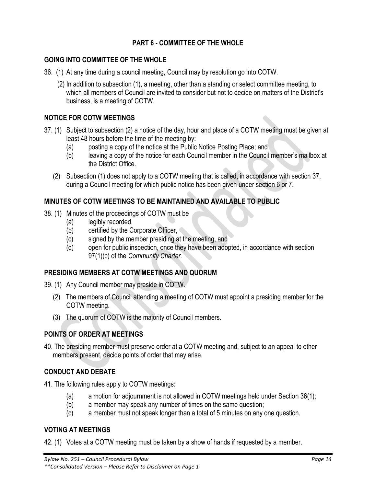# **PART 6 - COMMITTEE OF THE WHOLE**

#### **GOING INTO COMMITTEE OF THE WHOLE**

- 36. (1) At any time during a council meeting, Council may by resolution go into COTW.
	- (2) In addition to subsection (1), a meeting, other than a standing or select committee meeting, to which all members of Council are invited to consider but not to decide on matters of the District's business, is a meeting of COTW.

## **NOTICE FOR COTW MEETINGS**

- 37. (1) Subject to subsection (2) a notice of the day, hour and place of a COTW meeting must be given at least 48 hours before the time of the meeting by:
	- (a) posting a copy of the notice at the Public Notice Posting Place; and
	- (b) leaving a copy of the notice for each Council member in the Council member's mailbox at the District Office.
	- (2) Subsection (1) does not apply to a COTW meeting that is called, in accordance with section 37, during a Council meeting for which public notice has been given under section 6 or 7.

## **MINUTES OF COTW MEETINGS TO BE MAINTAINED AND AVAILABLE TO PUBLIC**

- 38. (1) Minutes of the proceedings of COTW must be
	- (a) legibly recorded,
	- (b) certified by the Corporate Officer,
	- (c) signed by the member presiding at the meeting, and
	- (d) open for public inspection, once they have been adopted, in accordance with section 97(1)(c) of the *Community Charter.*

## **PRESIDING MEMBERS AT COTW MEETINGS AND QUORUM**

- 39. (1) Any Council member may preside in COTW.
	- (2) The members of Council attending a meeting of COTW must appoint a presiding member for the COTW meeting.
	- (3) The quorum of COTW is the majority of Council members.

# **POINTS OF ORDER AT MEETINGS**

40. The presiding member must preserve order at a COTW meeting and, subject to an appeal to other members present, decide points of order that may arise.

## **CONDUCT AND DEBATE**

- 41. The following rules apply to COTW meetings:
	- (a) a motion for adjournment is not allowed in COTW meetings held under Section 36(1);
	- (b) a member may speak any number of times on the same question;
	- (c) a member must not speak longer than a total of 5 minutes on any one question.

# **VOTING AT MEETINGS**

42. (1) Votes at a COTW meeting must be taken by a show of hands if requested by a member.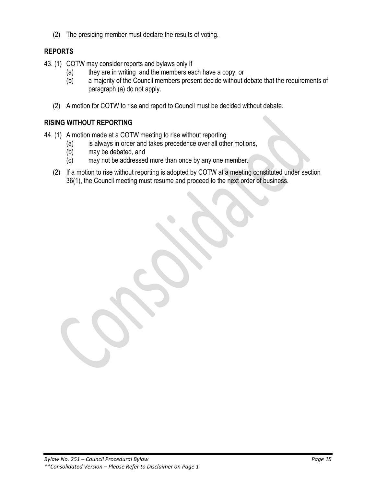(2) The presiding member must declare the results of voting.

# **REPORTS**

- 43. (1) COTW may consider reports and bylaws only if
	- (a) they are in writing and the members each have a copy, or
	- (b) a majority of the Council members present decide without debate that the requirements of paragraph (a) do not apply.
	- (2) A motion for COTW to rise and report to Council must be decided without debate.

## **RISING WITHOUT REPORTING**

- 44. (1) A motion made at a COTW meeting to rise without reporting
	- (a) is always in order and takes precedence over all other motions,
	- (b) may be debated, and
	- (c) may not be addressed more than once by any one member.
	- (2) If a motion to rise without reporting is adopted by COTW at a meeting constituted under section 36(1), the Council meeting must resume and proceed to the next order of business.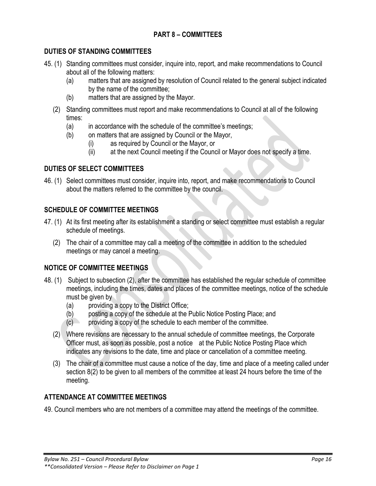# **PART 8 – COMMITTEES**

### **DUTIES OF STANDING COMMITTEES**

- 45. (1) Standing committees must consider, inquire into, report, and make recommendations to Council about all of the following matters:
	- (a) matters that are assigned by resolution of Council related to the general subject indicated by the name of the committee;
	- (b) matters that are assigned by the Mayor.
	- (2) Standing committees must report and make recommendations to Council at all of the following times:
		- (a) in accordance with the schedule of the committee's meetings;
		- (b) on matters that are assigned by Council or the Mayor,
			- (i) as required by Council or the Mayor, or
			- (ii) at the next Council meeting if the Council or Mayor does not specify a time.

### **DUTIES OF SELECT COMMITTEES**

46. (1) Select committees must consider, inquire into, report, and make recommendations to Council about the matters referred to the committee by the council.

### **SCHEDULE OF COMMITTEE MEETINGS**

- 47. (1) At its first meeting after its establishment a standing or select committee must establish a regular schedule of meetings.
	- (2) The chair of a committee may call a meeting of the committee in addition to the scheduled meetings or may cancel a meeting.

#### **NOTICE OF COMMITTEE MEETINGS**

- 48. (1) Subject to subsection (2), after the committee has established the regular schedule of committee meetings, including the times, dates and places of the committee meetings, notice of the schedule must be given by
	- (a) providing a copy to the District Office;
	- (b) posting a copy of the schedule at the Public Notice Posting Place; and
	- $(c)$  providing a copy of the schedule to each member of the committee.
	- (2) Where revisions are necessary to the annual schedule of committee meetings, the Corporate Officer must, as soon as possible, post a notice at the Public Notice Posting Place which indicates any revisions to the date, time and place or cancellation of a committee meeting.
	- (3) The chair of a committee must cause a notice of the day, time and place of a meeting called under section 8(2) to be given to all members of the committee at least 24 hours before the time of the meeting.

## **ATTENDANCE AT COMMITTEE MEETINGS**

49. Council members who are not members of a committee may attend the meetings of the committee.